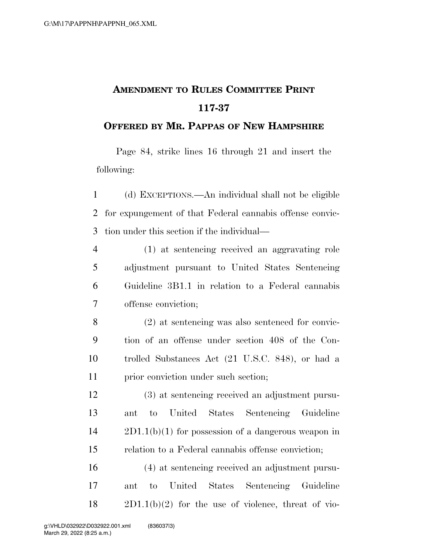## **AMENDMENT TO RULES COMMITTEE PRINT 117-37**

## **OFFERED BY MR. PAPPAS OF NEW HAMPSHIRE**

Page 84, strike lines 16 through 21 and insert the following:

 (d) EXCEPTIONS.—An individual shall not be eligible for expungement of that Federal cannabis offense convic-tion under this section if the individual—

 (1) at sentencing received an aggravating role adjustment pursuant to United States Sentencing Guideline 3B1.1 in relation to a Federal cannabis offense conviction;

 (2) at sentencing was also sentenced for convic- tion of an offense under section 408 of the Con- trolled Substances Act (21 U.S.C. 848), or had a 11 prior conviction under such section;

 (3) at sentencing received an adjustment pursu- ant to United States Sentencing Guideline 2D1.1(b)(1) for possession of a dangerous weapon in relation to a Federal cannabis offense conviction;

 (4) at sentencing received an adjustment pursu- ant to United States Sentencing Guideline  $18 \qquad 2D1.1(b)(2)$  for the use of violence, threat of vio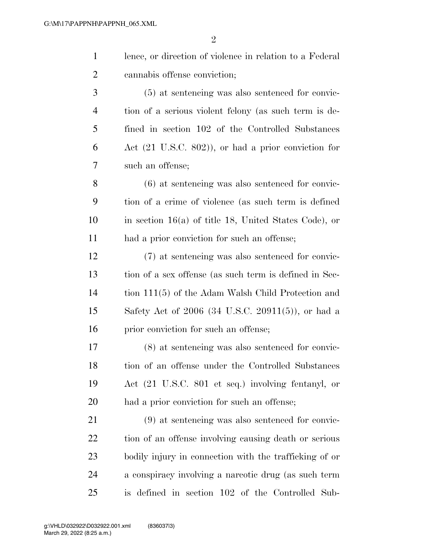| $\mathbf{1}$   | lence, or direction of violence in relation to a Federal       |
|----------------|----------------------------------------------------------------|
| 2              | cannabis offense conviction;                                   |
| 3              | $(5)$ at sentencing was also sentenced for convic-             |
| $\overline{4}$ | tion of a serious violent felony (as such term is de-          |
| 5              | fined in section 102 of the Controlled Substances              |
| 6              | Act $(21 \text{ U.S.C. } 802)$ , or had a prior conviction for |
| 7              | such an offense;                                               |
| 8              | $(6)$ at sentencing was also sentenced for convic-             |
| 9              | tion of a crime of violence (as such term is defined           |
| 10             | in section $16(a)$ of title 18, United States Code), or        |
| 11             | had a prior conviction for such an offense;                    |

 (7) at sentencing was also sentenced for convic- tion of a sex offense (as such term is defined in Sec- tion 111(5) of the Adam Walsh Child Protection and Safety Act of 2006 (34 U.S.C. 20911(5)), or had a 16 prior conviction for such an offense;

 (8) at sentencing was also sentenced for convic- tion of an offense under the Controlled Substances Act (21 U.S.C. 801 et seq.) involving fentanyl, or had a prior conviction for such an offense;

 (9) at sentencing was also sentenced for convic- tion of an offense involving causing death or serious bodily injury in connection with the trafficking of or a conspiracy involving a narcotic drug (as such term is defined in section 102 of the Controlled Sub